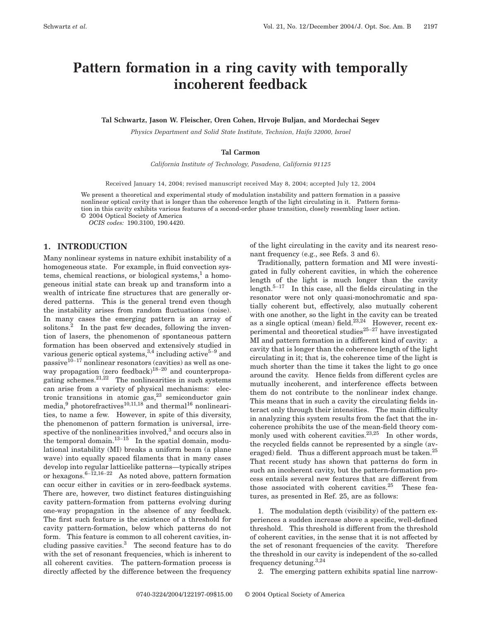# **Pattern formation in a ring cavity with temporally incoherent feedback**

**Tal Schwartz, Jason W. Fleischer, Oren Cohen, Hrvoje Buljan, and Mordechai Segev**

*Physics Department and Solid State Institute, Technion, Haifa 32000, Israel*

#### **Tal Carmon**

*California Institute of Technology, Pasadena, California 91125*

Received January 14, 2004; revised manuscript received May 8, 2004; accepted July 12, 2004

We present a theoretical and experimental study of modulation instability and pattern formation in a passive nonlinear optical cavity that is longer than the coherence length of the light circulating in it. Pattern formation in this cavity exhibits various features of a second-order phase transition, closely resembling laser action. © 2004 Optical Society of America

*OCIS codes:* 190.3100, 190.4420.

# **1. INTRODUCTION**

Many nonlinear systems in nature exhibit instability of a homogeneous state. For example, in fluid convection systems, chemical reactions, or biological systems, $<sup>1</sup>$  a homo-</sup> geneous initial state can break up and transform into a wealth of intricate fine structures that are generally ordered patterns. This is the general trend even though the instability arises from random fluctuations (noise). In many cases the emerging pattern is an array of solitons. $^{2}$  In the past few decades, following the invention of lasers, the phenomenon of spontaneous pattern formation has been observed and extensively studied in various generic optical systems,  $3,4$  including active  $5-9$  and passive $10^{-17}$  nonlinear resonators (cavities) as well as oneway propagation (zero feedback)<sup>18-20</sup> and counterpropagating schemes.<sup>21,22</sup> The nonlinearities in such systems can arise from a variety of physical mechanisms: electronic transitions in atomic gas, $23$  semiconductor gain media, $9$  photorefractives<sup>10,11,18</sup> and thermal<sup>16</sup> nonlinearities, to name a few. However, in spite of this diversity, the phenomenon of pattern formation is universal, irrespective of the nonlinearities involved, $3$  and occurs also in the temporal domain.<sup>13–15</sup> In the spatial domain, modulational instability (MI) breaks a uniform beam (a plane wave) into equally spaced filaments that in many cases develop into regular latticelike patterns—typically stripes or hexagons. $6-12,16-22$  As noted above, pattern formation can occur either in cavities or in zero-feedback systems. There are, however, two distinct features distinguishing cavity pattern-formation from patterns evolving during one-way propagation in the absence of any feedback. The first such feature is the existence of a threshold for cavity pattern-formation, below which patterns do not form. This feature is common to all coherent cavities, including passive cavities.3 The second feature has to do with the set of resonant frequencies, which is inherent to all coherent cavities. The pattern-formation process is directly affected by the difference between the frequency

of the light circulating in the cavity and its nearest resonant frequency (e.g., see Refs. 3 and 6).

Traditionally, pattern formation and MI were investigated in fully coherent cavities, in which the coherence length of the light is much longer than the cavity length. $5-17$  In this case, all the fields circulating in the resonator were not only quasi-monochromatic and spatially coherent but, effectively, also mutually coherent with one another, so the light in the cavity can be treated as a single optical (mean) field. $23,24$  However, recent experimental and theoretical studies $^{25-27}$  have investigated MI and pattern formation in a different kind of cavity: a cavity that is longer than the coherence length of the light circulating in it; that is, the coherence time of the light is much shorter than the time it takes the light to go once around the cavity. Hence fields from different cycles are mutually incoherent, and interference effects between them do not contribute to the nonlinear index change. This means that in such a cavity the circulating fields interact only through their intensities. The main difficulty in analyzing this system results from the fact that the incoherence prohibits the use of the mean-field theory commonly used with coherent cavities.<sup>23,25</sup> In other words, the recycled fields cannot be represented by a single (averaged) field. Thus a different approach must be taken.<sup>25</sup> That recent study has shown that patterns do form in such an incoherent cavity, but the pattern-formation process entails several new features that are different from those associated with coherent cavities. $25$  These features, as presented in Ref. 25, are as follows:

1. The modulation depth (visibility) of the pattern experiences a sudden increase above a specific, well-defined threshold. This threshold is different from the threshold of coherent cavities, in the sense that it is not affected by the set of resonant frequencies of the cavity. Therefore the threshold in our cavity is independent of the so-called frequency detuning.3,24

2. The emerging pattern exhibits spatial line narrow-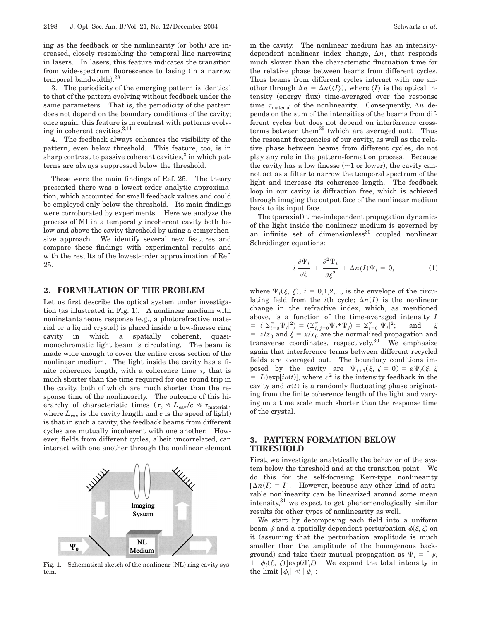ing as the feedback or the nonlinearity (or both) are increased, closely resembling the temporal line narrowing in lasers. In lasers, this feature indicates the transition from wide-spectrum fluorescence to lasing (in a narrow temporal bandwidth).28

3. The periodicity of the emerging pattern is identical to that of the pattern evolving without feedback under the same parameters. That is, the periodicity of the pattern does not depend on the boundary conditions of the cavity; once again, this feature is in contrast with patterns evolving in coherent cavities.3,11

4. The feedback always enhances the visibility of the pattern, even below threshold. This feature, too, is in sharp contrast to passive coherent cavities, $3$  in which patterns are always suppressed below the threshold.

These were the main findings of Ref. 25. The theory presented there was a lowest-order analytic approximation, which accounted for small feedback values and could be employed only below the threshold. Its main findings were corroborated by experiments. Here we analyze the process of MI in a temporally incoherent cavity both below and above the cavity threshold by using a comprehensive approach. We identify several new features and compare these findings with experimental results and with the results of the lowest-order approximation of Ref. 25.

#### **2. FORMULATION OF THE PROBLEM**

Let us first describe the optical system under investigation (as illustrated in Fig. 1). A nonlinear medium with noninstantaneous response (e.g., a photorefractive material or a liquid crystal) is placed inside a low-finesse ring cavity in which a spatially coherent, quasimonochromatic light beam is circulating. The beam is made wide enough to cover the entire cross section of the nonlinear medium. The light inside the cavity has a finite coherence length, with a coherence time  $\tau_c$  that is much shorter than the time required for one round trip in the cavity, both of which are much shorter than the response time of the nonlinearity. The outcome of this hierarchy of characteristic times ( $\tau_c \ll L_{\text{cav}}/c \ll \tau_{\text{material}}$ , where  $L_{\text{cav}}$  is the cavity length and  $c$  is the speed of light) is that in such a cavity, the feedback beams from different cycles are mutually incoherent with one another. However, fields from different cycles, albeit uncorrelated, can interact with one another through the nonlinear element



Fig. 1. Schematical sketch of the nonlinear (NL) ring cavity system.

in the cavity. The nonlinear medium has an intensitydependent nonlinear index change,  $\Delta n$ , that responds much slower than the characteristic fluctuation time for the relative phase between beams from different cycles. Thus beams from different cycles interact with one another through  $\Delta n = \Delta n(\langle I \rangle)$ , where  $\langle I \rangle$  is the optical intensity (energy flux) time-averaged over the response time  $\tau_{\text{material}}$  of the nonlinearity. Consequently,  $\Delta n$  depends on the sum of the intensities of the beams from different cycles but does not depend on interference crossterms between them<sup>29</sup> (which are averaged out). Thus the resonant frequencies of our cavity, as well as the relative phase between beams from different cycles, do not play any role in the pattern-formation process. Because the cavity has a low finesse  $(\sim 1$  or lower), the cavity cannot act as a filter to narrow the temporal spectrum of the light and increase its coherence length. The feedback loop in our cavity is diffraction free, which is achieved through imaging the output face of the nonlinear medium back to its input face.

The (paraxial) time-independent propagation dynamics of the light inside the nonlinear medium is governed by an infinite set of dimensionless $30$  coupled nonlinear Schrödinger equations:

$$
i\frac{\partial\Psi_i}{\partial \zeta} + \frac{\partial^2\Psi_i}{\partial \xi^2} + \Delta n(I)\Psi_i = 0, \tag{1}
$$

where  $\Psi_i(\xi, \zeta)$ ,  $i = 0,1,2,...$ , is the envelope of the circulating field from the *i*th cycle;  $\Delta n(I)$  is the nonlinear change in the refractive index, which, as mentioned above, is a function of the time-averaged intensity *I*  $= \langle |\Sigma_{i=0}^{\infty} \Psi_i|^2 \rangle = \langle \Sigma_{i,j=0}^{\infty} \Psi_i^* \Psi_j \rangle = \Sigma_{i=0}^{\infty} |\Psi_i|$ and  $\zeta$  $= z/z_0$  and  $\xi = x/x_0$  are the normalized propagation and transverse coordinates, respectively.<sup>30</sup> We emphasize again that interference terms between different recycled fields are averaged out. The boundary conditions imposed by the cavity are  $\Psi_{i+1}(\xi, \zeta = 0) = \varepsilon \Psi_i(\xi, \zeta)$  $= L$ )exp[ $i\alpha(t)$ ], where  $\varepsilon^2$  is the intensity feedback in the cavity and  $\alpha(t)$  is a randomly fluctuating phase originating from the finite coherence length of the light and varying on a time scale much shorter than the response time of the crystal.

# **3. PATTERN FORMATION BELOW THRESHOLD**

First, we investigate analytically the behavior of the system below the threshold and at the transition point. We do this for the self-focusing Kerr-type nonlinearity  $\lceil \Delta n(I) = I \rceil$ . However, because any other kind of saturable nonlinearity can be linearized around some mean intensity, $31$  we expect to get phenomenologically similar results for other types of nonlinearity as well.

We start by decomposing each field into a uniform beam  $\psi$  and a spatially dependent perturbation  $\phi(\xi, \zeta)$  on it (assuming that the perturbation amplitude is much smaller than the amplitude of the homogenous background) and take their mutual propagation as  $\Psi_i = \int \psi_i$ +  $\phi_i(\xi, \zeta)$  [exp(*i*F<sub>*i*</sub>ζ). We expand the total intensity in the limit  $|\phi_i| \ll |\psi_i|$ :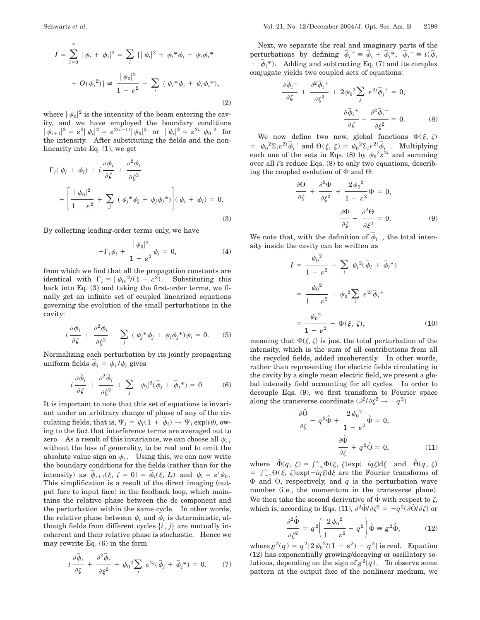$$
I = \sum_{i=0}^{\infty} |\psi_i + \phi_i|^2 = \sum_i [|\psi_i|^2 + \psi_i * \phi_i + \psi_i \phi_i * + O(\phi_i^2)] \approx \frac{|\psi_0|^2}{1 - \varepsilon^2} + \sum_i (\psi_i * \phi_i + \psi_i \phi_i *),
$$
\n(2)

where  $|\psi_0|^2$  is the intensity of the beam entering the cavity, and we have employed the boundary conditions  $|\psi_{i+1}|^2 = \varepsilon^2 |\psi_i|^2 = \varepsilon^{2(i+1)} |\psi_0|^2 \text{ or } |\psi_i|^2 = \varepsilon^{2i} |\psi_0|^2 \text{ for }$ the intensity. After substituting the fields and the nonlinearity into Eq. (1), we get

$$
-\Gamma_i(\psi_i + \phi_i) + i \frac{\partial \phi_i}{\partial \zeta} + \frac{\partial^2 \phi_i}{\partial \xi^2} + \left[ \frac{|\psi_0|^2}{1 - \varepsilon^2} + \sum_j (\psi_j^* \phi_j + \psi_j \phi_j^*) \right] (\psi_i + \phi_i) = 0.
$$
\n(3)

By collecting leading-order terms only, we have

$$
-\Gamma_i \psi_i + \frac{|\psi_0|^2}{1 - \varepsilon^2} \psi_i = 0, \tag{4}
$$

from which we find that all the propagation constants are identical with  $\Gamma_i = |\psi_0|^2/(1 - \varepsilon^2)$ . Substituting this back into Eq. (3) and taking the first-order terms, we finally get an infinite set of coupled linearized equations governing the evolution of the small perturbations in the cavity:

$$
i\frac{\partial \phi_i}{\partial \zeta} + \frac{\partial^2 \phi_i}{\partial \xi^2} + \sum_j (\psi_j^* \phi_j + \psi_j \phi_j^*) \psi_i = 0. \quad (5)
$$

Normalizing each perturbation by its jointly propagating uniform fields  $\bar{\phi}_i = \phi_i / \psi_i$  gives

$$
i\frac{\partial \overline{\phi}_i}{\partial \zeta} + \frac{\partial^2 \overline{\phi}_i}{\partial \xi^2} + \sum_j |\psi_j|^2 (\overline{\phi}_j + \overline{\phi}_j^*) = 0.
$$
 (6)

It is important to note that this set of equations is invariant under an arbitrary change of phase of any of the circulating fields, that is,  $\Psi_i = \psi_i (1 + \overline{\phi}_i) \rightarrow \Psi_i \exp(i\theta)$ , owing to the fact that interference terms are averaged out to zero. As a result of this invariance, we can choose all  $\psi_i$ , without the loss of generality, to be real and to omit the absolute value sign on  $\psi_i$ . Using this, we can now write the boundary conditions for the fields (rather than for the intensity) as  $\bar{\phi}_{i+1}(\xi, \zeta = 0) = \bar{\phi}_i(\xi, L)$  and  $\psi_i = \varepsilon^i \psi_0$ . This simplification is a result of the direct imaging (output face to input face) in the feedback loop, which maintains the relative phase between the dc component and the perturbation within the same cycle. In other words, the relative phase between  $\psi_i$  and  $\phi_i$  is deterministic, although fields from different cycles  $\{i, j\}$  are mutually incoherent and their relative phase is stochastic. Hence we may rewrite Eq. (6) in the form

$$
i\frac{\partial \overline{\phi}_i}{\partial \zeta} + \frac{\partial^2 \overline{\phi}_i}{\partial \xi^2} + \psi_0^2 \sum_j \varepsilon^{2j} (\overline{\phi}_j + \overline{\phi}_j^*) = 0. \tag{7}
$$

Next, we separate the real and imaginary parts of the perturbations by defining  $\overline{\phi}_i^+ \equiv \overline{\phi}_i + \overline{\phi}_i^*, \overline{\phi}_i^- \equiv i(\overline{\phi}_i)$  $\vec{\phi}_i = \vec{\phi}_i + \vec{\phi}_i + \vec{\phi}_i + \vec{\phi}_i = \vec{\phi}_i$ <br>  $\vec{\phi}_i$ . Adding and subtracting Eq. (7) and its complex conjugate yields two coupled sets of equations:

$$
\frac{\partial \overline{\phi}_{i}^{-}}{\partial \zeta} + \frac{\partial^{2} \overline{\phi}_{i}^{+}}{\partial \xi^{2}} + 2 \psi_{0}^{2} \sum_{j} \varepsilon^{2j} \overline{\phi}_{j}^{+} = 0,
$$

$$
\frac{\partial \overline{\phi}_{i}^{+}}{\partial \zeta} - \frac{\partial^{2} \overline{\phi}_{i}^{-}}{\partial \xi^{2}} = 0.
$$
(8)

We now define two new, global functions  $\Phi(\xi, \zeta)$  $\psi_0^0 = \psi_0^2 \Sigma_i \varepsilon^{2i} \overline{\phi}_i^+$  and  $\Theta(\xi, \zeta) = \psi_0^2 \Sigma_i \varepsilon^{2i} \overline{\phi}_i^-$ . Multiplying each one of the sets in Eqs. (8) by  $\psi_0^2 \varepsilon^{2i}$  and summing over all *i*'s reduce Eqs. (8) to only two equations, describing the coupled evolution of  $\Phi$  and  $\Theta$ :

$$
\frac{\partial \Theta}{\partial \zeta} + \frac{\partial^2 \Phi}{\partial \xi^2} + \frac{2 \psi_0^2}{1 - \varepsilon^2} \Phi = 0,
$$

$$
\frac{\partial \Phi}{\partial \zeta} - \frac{\partial^2 \Theta}{\partial \xi^2} = 0.
$$
(9)

We note that, with the definition of  $\bar{\phi}_i^{\dagger}$ , the total intensity inside the cavity can be written as

$$
I = \frac{\psi_0^2}{1 - \varepsilon^2} + \sum_i \psi_i^2 (\bar{\phi}_i + \bar{\phi}_i^*)
$$
  
= 
$$
\frac{\psi_0^2}{1 - \varepsilon^2} + \psi_0^2 \sum_i \varepsilon^{2i} \bar{\phi}_i^+
$$
  
= 
$$
\frac{\psi_0^2}{1 - \varepsilon^2} + \Phi(\xi, \zeta), \qquad (10)
$$

meaning that  $\Phi(\xi, \zeta)$  is just the total perturbation of the intensity, which is the sum of all contributions from all the recycled fields, added incoherently. In other words, rather than representing the electric fields circulating in the cavity by a single mean electric field, we present a global intensity field accounting for all cycles. In order to decouple Eqs. (9), we first transform to Fourier space along the transverse coordinate  $(\partial^2/\partial \xi^2 \rightarrow -q^2)$ 

$$
\frac{\partial \hat{\Theta}}{\partial \zeta} - q^2 \hat{\Phi} + \frac{2 \psi_0^2}{1 - \varepsilon^2} \hat{\Phi} = 0,
$$

$$
\frac{\partial \hat{\Phi}}{\partial \zeta} + q^2 \hat{\Theta} = 0,
$$
(11)

where  $\hat{\Phi}(q, \zeta) = \int_{-\infty}^{\infty} \Phi(\xi, \zeta) \exp(-iq\xi) d\xi$  and  $\hat{\Theta}(q, \zeta)$  $= \int_{-\infty}^{\infty} \Theta(\xi, \zeta) \exp(-iq\xi) d\xi$  are the Fourier transforms of  $\Phi$  and  $\Theta$ , respectively, and *q* is the perturbation wave number (i.e., the momentum in the transverse plane). We then take the second derivative of  $\hat{\Phi}$  with respect to  $\zeta$ , which is, according to Eqs. (11),  $\partial^2 \hat{\Phi}/\partial \zeta^2 = -q^2(\partial \hat{\Theta}/\partial \zeta)$  or

$$
\frac{\partial^2 \hat{\Phi}}{\partial \zeta^2} = q^2 \left( \frac{2 \psi_0^2}{1 - \varepsilon^2} - q^2 \right) \hat{\Phi} = g^2 \hat{\Phi},\tag{12}
$$

where  $g^2(q) = q^2[2\psi_0^2/(1-\varepsilon^2) - q^2]$  is real. Equation (12) has exponentially growing/decaying or oscillatory solutions, depending on the sign of  $g^2(q)$ . To observe some pattern at the output face of the nonlinear medium, we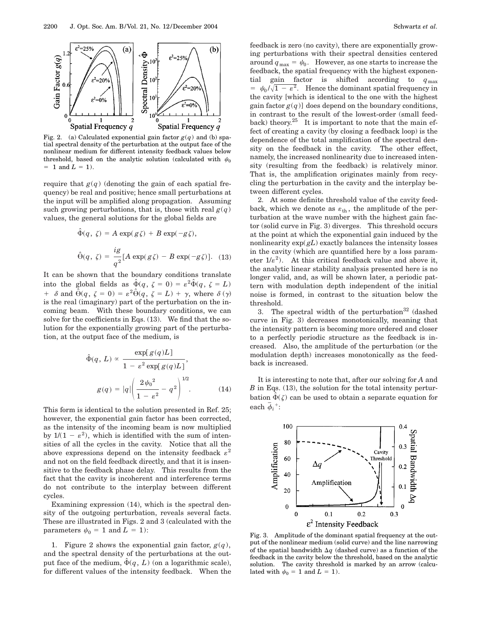

Fig. 2. (a) Calculated exponential gain factor  $g(q)$  and (b) spatial spectral density of the perturbation at the output face of the nonlinear medium for different intensity feedback values below threshold, based on the analytic solution (calculated with  $\psi_0$  $= 1$  and  $L = 1$ ).

require that  $g(q)$  (denoting the gain of each spatial frequency) be real and positive; hence small perturbations at the input will be amplified along propagation. Assuming such growing perturbations, that is, those with real  $g(q)$ values, the general solutions for the global fields are

$$
\hat{\Phi}(q, \zeta) = A \exp(g\zeta) + B \exp(-g\zeta),
$$
  

$$
\hat{\Theta}(q, \zeta) = \frac{ig}{q^2} [A \exp(g\zeta) - B \exp(-g\zeta)].
$$
 (13)

It can be shown that the boundary conditions translate into the global fields as  $\hat{\Phi}(q, \zeta = 0) = \varepsilon^2 \hat{\Phi}(q, \zeta = L)$ +  $\delta$  and  $\tilde{\dot{\Theta}}(q, \zeta = 0) = \varepsilon^2 \hat{\Theta}(q, \zeta = L) + \gamma$ , where  $\delta(\gamma)$ is the real (imaginary) part of the perturbation on the incoming beam. With these boundary conditions, we can solve for the coefficients in Eqs. (13). We find that the solution for the exponentially growing part of the perturbation, at the output face of the medium, is

$$
\hat{\Phi}(q, L) \propto \frac{\exp[g(q)L]}{1 - \varepsilon^2 \exp[g(q)L]},
$$

$$
g(q) = |q| \left( \frac{2\psi_0^2}{1 - \varepsilon^2} - q^2 \right)^{1/2}.
$$
 (14)

This form is identical to the solution presented in Ref. 25; however, the exponential gain factor has been corrected, as the intensity of the incoming beam is now multiplied by  $1/(1 - \varepsilon^2)$ , which is identified with the sum of intensities of all the cycles in the cavity. Notice that all the above expressions depend on the intensity feedback  $\varepsilon^2$ and not on the field feedback directly, and that it is insensitive to the feedback phase delay. This results from the fact that the cavity is incoherent and interference terms do not contribute to the interplay between different cycles.

Examining expression (14), which is the spectral density of the outgoing perturbation, reveals several facts. These are illustrated in Figs. 2 and 3 (calculated with the parameters  $\psi_0 = 1$  and  $L = 1$ :

1. Figure 2 shows the exponential gain factor,  $g(q)$ , and the spectral density of the perturbations at the output face of the medium,  $\hat{\Phi}(q, L)$  (on a logarithmic scale), for different values of the intensity feedback. When the feedback is zero (no cavity), there are exponentially growing perturbations with their spectral densities centered around  $q_{\text{max}} = \psi_0$ . However, as one starts to increase the feedback, the spatial frequency with the highest exponential gain factor is shifted according to  $q_{\text{max}}$  $= \psi_0 / \sqrt{1 - \varepsilon^2}$ . Hence the dominant spatial frequency in the cavity [which is identical to the one with the highest gain factor  $g(q)$  does depend on the boundary conditions, in contrast to the result of the lowest-order (small feedback) theory.25 It is important to note that the main effect of creating a cavity (by closing a feedback loop) is the

dependence of the total amplification of the spectral density on the feedback in the cavity. The other effect, namely, the increased nonlinearity due to increased intensity (resulting from the feedback) is relatively minor. That is, the amplification originates mainly from recycling the perturbation in the cavity and the interplay between different cycles.

2. At some definite threshold value of the cavity feedback, which we denote as  $\varepsilon_{\text{th}}$ , the amplitude of the perturbation at the wave number with the highest gain factor (solid curve in Fig. 3) diverges. This threshold occurs at the point at which the exponential gain induced by the nonlinearity  $\exp(gL)$  exactly balances the intensity losses in the cavity (which are quantified here by a loss parameter  $1/\varepsilon^2$ ). At this critical feedback value and above it, the analytic linear stability analysis presented here is no longer valid, and, as will be shown later, a periodic pattern with modulation depth independent of the initial noise is formed, in contrast to the situation below the threshold.

3. The spectral width of the perturbation<sup>32</sup> (dashed curve in Fig. 3) decreases monotonically, meaning that the intensity pattern is becoming more ordered and closer to a perfectly periodic structure as the feedback is increased. Also, the amplitude of the perturbation (or the modulation depth) increases monotonically as the feedback is increased.

It is interesting to note that, after our solving for *A* and *B* in Eqs. (13), the solution for the total intensity perturbation  $\hat{\Phi}(\zeta)$  can be used to obtain a separate equation for each  $\bar{\phi}_i$ <sup>+</sup>:



Fig. 3. Amplitude of the dominant spatial frequency at the output of the nonlinear medium (solid curve) and the line narrowing of the spatial bandwidth  $\Delta q$  (dashed curve) as a function of the feedback in the cavity below the threshold, based on the analytic solution. The cavity threshold is marked by an arrow (calculated with  $\psi_0 = 1$  and  $L = 1$ ).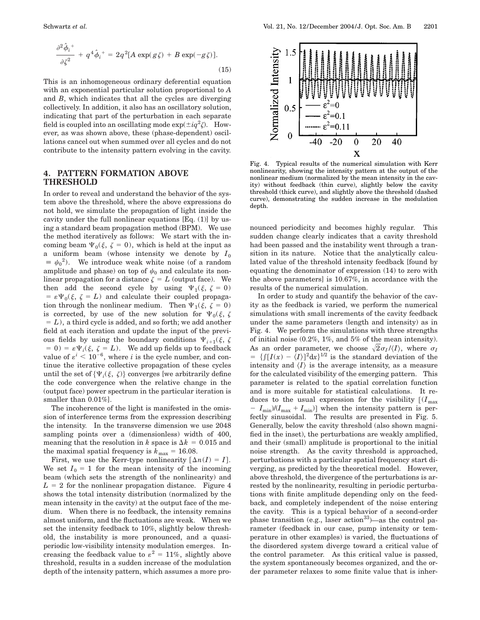$$
\frac{\partial^2 \hat{\phi}_i}{\partial \zeta^2} + q^4 \hat{\phi}_i{}^+ = 2q^2 [A \exp(g\zeta) + B \exp(-g\zeta)].
$$
\n(15)

This is an inhomogeneous ordinary deferential equation with an exponential particular solution proportional to *A* and *B*, which indicates that all the cycles are diverging collectively. In addition, it also has an oscillatory solution, indicating that part of the perturbation in each separate field is coupled into an oscillating mode  $\exp(\pm i q^2 \zeta)$ . However, as was shown above, these (phase-dependent) oscillations cancel out when summed over all cycles and do not contribute to the intensity pattern evolving in the cavity.

# **4. PATTERN FORMATION ABOVE THRESHOLD**

In order to reveal and understand the behavior of the system above the threshold, where the above expressions do not hold, we simulate the propagation of light inside the cavity under the full nonlinear equations  $[Eq. (1)]$  by using a standard beam propagation method (BPM). We use the method iteratively as follows: We start with the incoming beam  $\Psi_0(\xi, \zeta = 0)$ , which is held at the input as a uniform beam (whose intensity we denote by  $I_0$  $\equiv \psi_0^2$ ). We introduce weak white noise (of a random amplitude and phase) on top of  $\psi_0$  and calculate its nonlinear propagation for a distance  $\zeta = L$  (output face). We then add the second cycle by using  $\Psi_1(\xi, \zeta = 0)$  $= \varepsilon \Psi_0(\xi, \zeta = L)$  and calculate their coupled propagation through the nonlinear medium. Then  $\Psi_1(\xi, \zeta = 0)$ is corrected, by use of the new solution for  $\Psi_0(\xi, \zeta)$  $= L$ ), a third cycle is added, and so forth; we add another field at each iteration and update the input of the previous fields by using the boundary conditions  $\Psi_{i+1}(\xi, \zeta)$  $(5 - 0) = \varepsilon \Psi_i(\xi, \zeta = L)$ . We add up fields up to feedback value of  $\varepsilon^{i}$  < 10<sup>-6</sup>, where *i* is the cycle number, and continue the iterative collective propagation of these cycles until the set of  $\{\Psi_i(\xi, \zeta)\}\)$  converges [we arbitrarily define the code convergence when the relative change in the (output face) power spectrum in the particular iteration is smaller than 0.01%].

The incoherence of the light is manifested in the omission of interference terms from the expression describing the intensity. In the transverse dimension we use 2048 sampling points over a (dimensionless) width of 400, meaning that the resolution in *k* space is  $\Delta k = 0.015$  and the maximal spatial frequency is  $k_{\text{max}} = 16.08$ .

First, we use the Kerr-type nonlinearity  $[\Delta n(I) = I].$ We set  $I_0 = 1$  for the mean intensity of the incoming beam (which sets the strength of the nonlinearity) and  $L = 2$  for the nonlinear propagation distance. Figure 4 shows the total intensity distribution (normalized by the mean intensity in the cavity) at the output face of the medium. When there is no feedback, the intensity remains almost uniform, and the fluctuations are weak. When we set the intensity feedback to 10%, slightly below threshold, the instability is more pronounced, and a quasiperiodic low-visibility intensity modulation emerges. Increasing the feedback value to  $\varepsilon^2 = 11\%$ , slightly above threshold, results in a sudden increase of the modulation depth of the intensity pattern, which assumes a more pro-



Fig. 4. Typical results of the numerical simulation with Kerr nonlinearity, showing the intensity pattern at the output of the nonlinear medium (normalized by the mean intensity in the cavity) without feedback (thin curve), slightly below the cavity threshold (thick curve), and slightly above the threshold (dashed curve), demonstrating the sudden increase in the modulation depth.

nounced periodicity and becomes highly regular. This sudden change clearly indicates that a cavity threshold had been passed and the instability went through a transition in its nature. Notice that the analytically calculated value of the threshold intensity feedback [found by equating the denominator of expression (14) to zero with the above parameters] is 10.67%, in accordance with the results of the numerical simulation.

In order to study and quantify the behavior of the cavity as the feedback is varied, we perform the numerical simulations with small increments of the cavity feedback under the same parameters (length and intensity) as in Fig. 4. We perform the simulations with three strengths of initial noise (0.2%, 1%, and 5% of the mean intensity). As an order parameter, we choose  $\sqrt{2}\sigma_I/\langle I \rangle$ , where  $\sigma_I$  $= \{ \int [I(x) - \langle I \rangle]^2 dx \}^{1/2}$  is the standard deviation of the intensity and  $\langle I \rangle$  is the average intensity, as a measure for the calculated visibility of the emerging pattern. This parameter is related to the spatial correlation function and is more suitable for statistical calculations. It reduces to the usual expression for the visibility  $[(I_{max}$  $I_{\min}$ / $(I_{\max} + I_{\min})$  when the intensity pattern is perfectly sinusoidal. The results are presented in Fig. 5. Generally, below the cavity threshold (also shown magnified in the inset), the perturbations are weakly amplified, and their (small) amplitude is proportional to the initial noise strength. As the cavity threshold is approached, perturbations with a particular spatial frequency start diverging, as predicted by the theoretical model. However, above threshold, the divergence of the perturbations is arrested by the nonlinearity, resulting in periodic perturbations with finite amplitude depending only on the feedback, and completely independent of the noise entering the cavity. This is a typical behavior of a second-order phase transition (e.g., laser action<sup>33</sup>)—as the control parameter (feedback in our case, pump intensity or temperature in other examples) is varied, the fluctuations of the disordered system diverge toward a critical value of the control parameter. As this critical value is passed, the system spontaneously becomes organized, and the order parameter relaxes to some finite value that is inher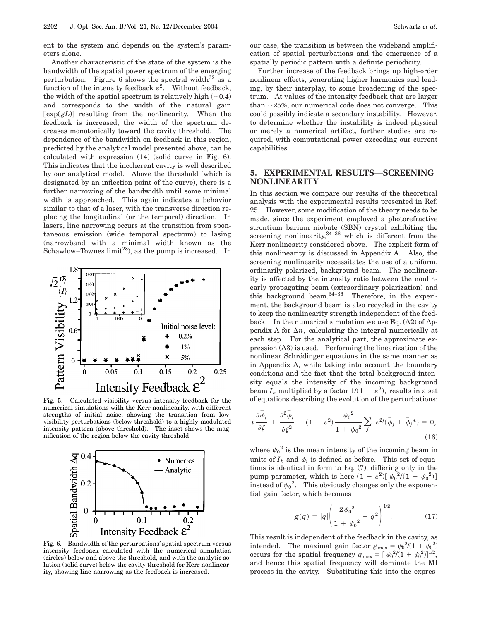ent to the system and depends on the system's parameters alone.

Another characteristic of the state of the system is the bandwidth of the spatial power spectrum of the emerging perturbation. Figure 6 shows the spectral width $32$  as a function of the intensity feedback  $\varepsilon^2$ . Without feedback, the width of the spatial spectrum is relatively high  $(\sim 0.4)$ and corresponds to the width of the natural gain  $\left[ \exp(gL) \right]$  resulting from the nonlinearity. When the feedback is increased, the width of the spectrum decreases monotonically toward the cavity threshold. The dependence of the bandwidth on feedback in this region, predicted by the analytical model presented above, can be calculated with expression (14) (solid curve in Fig. 6). This indicates that the incoherent cavity is well described by our analytical model. Above the threshold (which is designated by an inflection point of the curve), there is a further narrowing of the bandwidth until some minimal width is approached. This again indicates a behavior similar to that of a laser, with the transverse direction replacing the longitudinal (or the temporal) direction. In lasers, line narrowing occurs at the transition from spontaneous emission (wide temporal spectrum) to lasing (narrowband with a minimal width known as the Schawlow–Townes  $\text{limit}^{28}$ , as the pump is increased. In



numerical simulations with the Kerr nonlinearity, with different strengths of initial noise, showing the transition from lowvisibility perturbations (below threshold) to a highly modulated intensity pattern (above threshold). The inset shows the magnification of the region below the cavity threshold.



Fig. 6. Bandwidth of the perturbations' spatial spectrum versus intensity feedback calculated with the numerical simulation (circles) below and above the threshold, and with the analytic solution (solid curve) below the cavity threshold for Kerr nonlinearity, showing line narrowing as the feedback is increased.

our case, the transition is between the wideband amplification of spatial perturbations and the emergence of a spatially periodic pattern with a definite periodicity.

Further increase of the feedback brings up high-order nonlinear effects, generating higher harmonics and leading, by their interplay, to some broadening of the spectrum. At values of the intensity feedback that are larger than  $\sim$ 25%, our numerical code does not converge. This could possibly indicate a secondary instability. However, to determine whether the instability is indeed physical or merely a numerical artifact, further studies are required, with computational power exceeding our current capabilities.

# **5. EXPERIMENTAL RESULTS—SCREENING NONLINEARITY**

In this section we compare our results of the theoretical analysis with the experimental results presented in Ref. 25. However, some modification of the theory needs to be made, since the experiment employed a photorefractive strontium barium niobate (SBN) crystal exhibiting the screening nonlinearity,  $34-36$  which is different from the Kerr nonlinearity considered above. The explicit form of this nonlinearity is discussed in Appendix A. Also, the screening nonlinearity necessitates the use of a uniform, ordinarily polarized, background beam. The nonlinearity is affected by the intensity ratio between the nonlinearly propagating beam (extraordinary polarization) and this background beam. $34-36$  Therefore, in the experiment, the background beam is also recycled in the cavity to keep the nonlinearity strength independent of the feedback. In the numerical simulation we use Eq. (A2) of Appendix A for  $\Delta n$ , calculating the integral numerically at each step. For the analytical part, the approximate expression (A3) is used. Performing the linearization of the nonlinear Schrödinger equations in the same manner as in Appendix A, while taking into account the boundary conditions and the fact that the total background intensity equals the intensity of the incoming background beam  $I_b$  multiplied by a factor  $1/(1 - \varepsilon^2)$ , results in a set of equations describing the evolution of the perturbations:

$$
i\frac{\partial \overline{\phi}_i}{\partial \zeta} + \frac{\partial^2 \overline{\phi}_i}{\partial \xi^2} + (1 - \varepsilon^2) \frac{\psi_0^2}{1 + \psi_0^2} \sum_j \varepsilon^{2j} (\overline{\phi}_j + \overline{\phi}_j^*) = 0,
$$
\n(16)

where  $\psi_0^2$  is the mean intensity of the incoming beam in where  $\phi_0$  is the mean intensity of the incoming beam in units of  $I_b$  and  $\bar{\phi}_i$  is defined as before. This set of equations is identical in form to Eq. (7), differing only in the pump parameter, which is here  $(1 - \varepsilon^2) [\psi_0^2/(1 + \psi_0^2)]$ instead of  $\psi_0^2$ . This obviously changes only the exponential gain factor, which becomes

$$
g(q) = |q| \left( \frac{2\psi_0^2}{1 + \psi_0^2} - q^2 \right)^{1/2}.
$$
 (17)

This result is independent of the feedback in the cavity, as intended. The maximal gain factor  $g_{\text{max}} = \psi_0^2/(1 + \psi_0^2)$ occurs for the spatial frequency  $q_{\text{max}} = [\psi_0^2/(1 + \psi_0^2)]^{1/2}$ , and hence this spatial frequency will dominate the MI process in the cavity. Substituting this into the expres-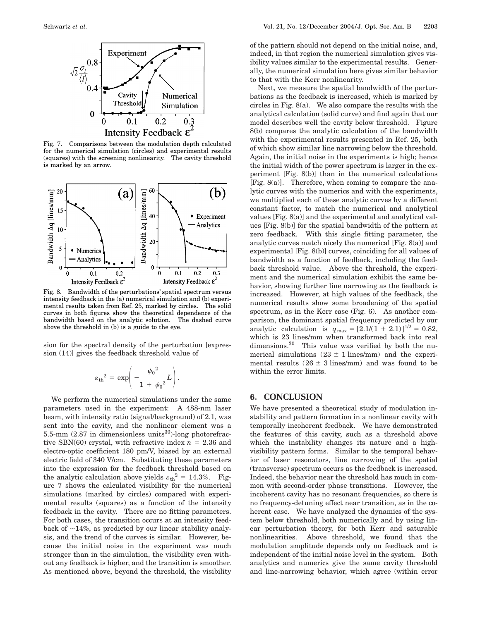

Fig. 7. Comparisons between the modulation depth calculated for the numerical simulation (circles) and experimental results (squares) with the screening nonlinearity. The cavity threshold is marked by an arrow.



Fig. 8. Bandwidth of the perturbations' spatial spectrum versus intensity feedback in the (a) numerical simulation and (b) experimental results taken from Ref. 25, marked by circles. The solid curves in both figures show the theoretical dependence of the bandwidth based on the analytic solution. The dashed curve above the threshold in (b) is a guide to the eye.

sion for the spectral density of the perturbation [expression (14)] gives the feedback threshold value of

$$
\varepsilon_{\rm th}{}^2 = \exp \left( -\frac{{\psi_0}^2}{1 + {\psi_0}^2} L \right).
$$

We perform the numerical simulations under the same parameters used in the experiment: A 488-nm laser beam, with intensity ratio (signal/background) of 2.1, was sent into the cavity, and the nonlinear element was a 5.5-mm  $(2.87 \text{ in dimensionless units}^{30})$ -long photorefractive SBN(60) crystal, with refractive index  $n = 2.36$  and electro-optic coefficient 180 pm/V, biased by an external electric field of 340 V/cm. Substituting these parameters into the expression for the feedback threshold based on the analytic calculation above yields  $\varepsilon_{\text{th}}^2 = 14.3\%$ . Figure 7 shows the calculated visibility for the numerical simulations (marked by circles) compared with experimental results (squares) as a function of the intensity feedback in the cavity. There are no fitting parameters. For both cases, the transition occurs at an intensity feedback of  $\sim$ 14%, as predicted by our linear stability analysis, and the trend of the curves is similar. However, because the initial noise in the experiment was much stronger than in the simulation, the visibility even without any feedback is higher, and the transition is smoother. As mentioned above, beyond the threshold, the visibility of the pattern should not depend on the initial noise, and, indeed, in that region the numerical simulation gives visibility values similar to the experimental results. Generally, the numerical simulation here gives similar behavior to that with the Kerr nonlinearity.

Next, we measure the spatial bandwidth of the perturbations as the feedback is increased, which is marked by circles in Fig. 8(a). We also compare the results with the analytical calculation (solid curve) and find again that our model describes well the cavity below threshold. Figure 8(b) compares the analytic calculation of the bandwidth with the experimental results presented in Ref. 25, both of which show similar line narrowing below the threshold. Again, the initial noise in the experiments is high; hence the initial width of the power spectrum is larger in the experiment [Fig. 8(b)] than in the numerical calculations [Fig. 8(a)]. Therefore, when coming to compare the analytic curves with the numerics and with the experiments, we multiplied each of these analytic curves by a different constant factor, to match the numerical and analytical values [Fig. 8(a)] and the experimental and analytical values [Fig. 8(b)] for the spatial bandwidth of the pattern at zero feedback. With this single fitting parameter, the analytic curves match nicely the numerical [Fig. 8(a)] and experimental [Fig. 8(b)] curves, coinciding for all values of bandwidth as a function of feedback, including the feedback threshold value. Above the threshold, the experiment and the numerical simulation exhibit the same behavior, showing further line narrowing as the feedback is increased. However, at high values of the feedback, the numerical results show some broadening of the spatial spectrum, as in the Kerr case (Fig. 6). As another comparison, the dominant spatial frequency predicted by our analytic calculation is  $q_{\text{max}} = [2.1/(1 + 2.1)]^{1/2} = 0.82$ , which is 23 lines/mm when transformed back into real dimensions.<sup>30</sup> This value was verified by both the numerical simulations  $(23 \pm 1)$  lines/mm) and the experimental results  $(26 \pm 3 \text{ lines/mm})$  and was found to be within the error limits.

## **6. CONCLUSION**

We have presented a theoretical study of modulation instability and pattern formation in a nonlinear cavity with temporally incoherent feedback. We have demonstrated the features of this cavity, such as a threshold above which the instability changes its nature and a highvisibility pattern forms. Similar to the temporal behavior of laser resonators, line narrowing of the spatial (transverse) spectrum occurs as the feedback is increased. Indeed, the behavior near the threshold has much in common with second-order phase transitions. However, the incoherent cavity has no resonant frequencies, so there is no frequency-detuning effect near transition, as in the coherent case. We have analyzed the dynamics of the system below threshold, both numerically and by using linear perturbation theory, for both Kerr and saturable nonlinearities. Above threshold, we found that the modulation amplitude depends only on feedback and is independent of the initial noise level in the system. Both analytics and numerics give the same cavity threshold and line-narrowing behavior, which agree (within error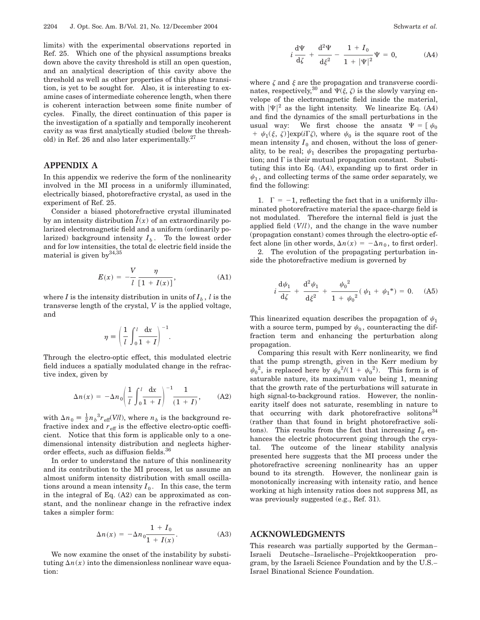limits) with the experimental observations reported in Ref. 25. Which one of the physical assumptions breaks down above the cavity threshold is still an open question, and an analytical description of this cavity above the threshold as well as other properties of this phase transition, is yet to be sought for. Also, it is interesting to examine cases of intermediate coherence length, when there is coherent interaction between some finite number of cycles. Finally, the direct continuation of this paper is the investigation of a spatially and temporally incoherent cavity as was first analytically studied (below the threshold) in Ref. 26 and also later experimentally. $27$ 

# **APPENDIX A**

In this appendix we rederive the form of the nonlinearity involved in the MI process in a uniformly illuminated, electrically biased, photorefractive crystal, as used in the experiment of Ref. 25.

Consider a biased photorefractive crystal illuminated by an intensity distribution  $\overline{I}(x)$  of an extraordinarily polarized electromagnetic field and a uniform (ordinarily polarized) background intensity  $I_b$ . To the lowest order and for low intensities, the total dc electric field inside the material is given by  $34,35$ 

$$
E(x) = -\frac{V}{l} \frac{\eta}{\left[1 + I(x)\right]},\tag{A1}
$$

.

where *I* is the intensity distribution in units of  $I_b$ , *l* is the transverse length of the crystal, *V* is the applied voltage, and

$$
\eta = \left(\frac{1}{l} \int_0^l \frac{\mathrm{d}x}{1+I}\right)^{-1}
$$

Through the electro-optic effect, this modulated electric field induces a spatially modulated change in the refractive index, given by

$$
\Delta n(x) = -\Delta n_0 \left(\frac{1}{l} \int_0^l \frac{\mathrm{d}x}{1+l}\right)^{-1} \frac{1}{(1+l)}, \quad (A2)
$$

with  $\Delta n_0 = \frac{1}{2} n_b^3 r_{\text{eff}}(V/l)$ , where  $n_b$  is the background refractive index and  $r_{\text{eff}}$  is the effective electro-optic coefficient. Notice that this form is applicable only to a onedimensional intensity distribution and neglects higherorder effects, such as diffusion fields.36

In order to understand the nature of this nonlinearity and its contribution to the MI process, let us assume an almost uniform intensity distribution with small oscillations around a mean intensity  $I_0$ . In this case, the term in the integral of Eq. (A2) can be approximated as constant, and the nonlinear change in the refractive index takes a simpler form:

$$
\Delta n(x) = -\Delta n_0 \frac{1 + I_0}{1 + I(x)}.
$$
 (A3)

We now examine the onset of the instability by substituting  $\Delta n(x)$  into the dimensionless nonlinear wave equation:

$$
i\frac{d\Psi}{d\zeta} + \frac{d^2\Psi}{d\xi^2} - \frac{1+I_0}{1+|\Psi|^2}\Psi = 0,
$$
 (A4)

where  $\zeta$  and  $\xi$  are the propagation and transverse coordinates, respectively,<sup>30</sup> and  $\Psi(\xi, \zeta)$  is the slowly varying envelope of the electromagnetic field inside the material, with  $|\Psi|^2$  as the light intensity. We linearize Eq. (A4) and find the dynamics of the small perturbations in the usual way: We first choose the ansatz  $\Psi = [\psi_0$ +  $\psi_1(\xi, \zeta)$  exp(*i*F $\zeta$ ), where  $\psi_0$  is the square root of the mean intensity  $I_0$  and chosen, without the loss of generality, to be real;  $\psi_1$  describes the propagating perturbation; and  $\Gamma$  is their mutual propagation constant. Substituting this into Eq. (A4), expanding up to first order in  $\psi_1$ , and collecting terms of the same order separately, we find the following:

1.  $\Gamma = -1$ , reflecting the fact that in a uniformly illuminated photorefractive material the space-charge field is not modulated. Therefore the internal field is just the applied field (*V*/*l*), and the change in the wave number (propagation constant) comes through the electro-optic effect alone [in other words,  $\Delta n(x) = -\Delta n_0$ , to first order].

2. The evolution of the propagating perturbation inside the photorefractive medium is governed by

$$
i\frac{d\psi_1}{d\zeta} + \frac{d^2\psi_1}{d\zeta^2} + \frac{\psi_0^2}{1 + \psi_0^2}(\psi_1 + \psi_1^*) = 0. \quad (A5)
$$

This linearized equation describes the propagation of  $\psi_1$ with a source term, pumped by  $\psi_0$ , counteracting the diffraction term and enhancing the perturbation along propagation.

Comparing this result with Kerr nonlinearity, we find that the pump strength, given in the Kerr medium by  $\psi_0^2$ , is replaced here by  $\psi_0^2/(1 + \psi_0^2)$ . This form is of saturable nature, its maximum value being 1, meaning that the growth rate of the perturbations will saturate in high signal-to-background ratios. However, the nonlinearity itself does not saturate, resembling in nature to that occurring with dark photorefractive solitons $34$ (rather than that found in bright photorefractive solitons). This results from the fact that increasing  $I_0$  enhances the electric photocurrent going through the crystal. The outcome of the linear stability analysis presented here suggests that the MI process under the photorefractive screening nonlinearity has an upper bound to its strength. However, the nonlinear gain is monotonically increasing with intensity ratio, and hence working at high intensity ratios does not suppress MI, as was previously suggested (e.g., Ref. 31).

# **ACKNOWLEDGMENTS**

This research was partially supported by the German– Israeli Deutsche–Israelische–Projektkooperation program, by the Israeli Science Foundation and by the U.S.– Israel Binational Science Foundation.